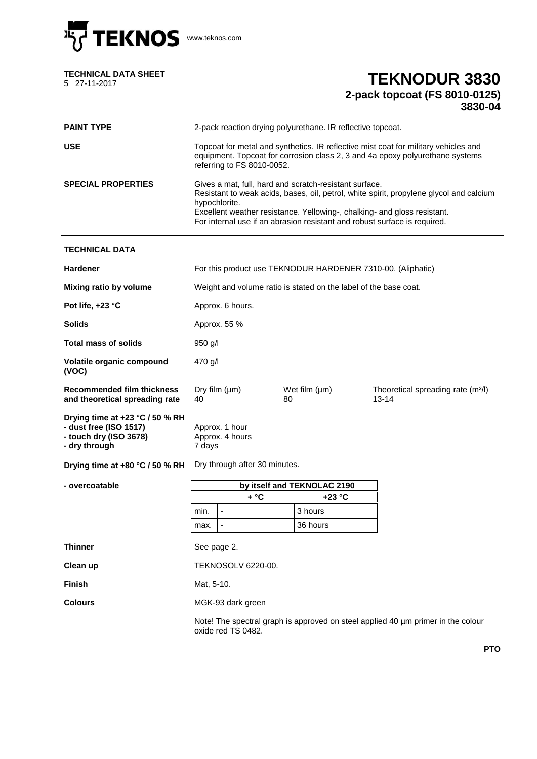

| <b>TECHNICAL DATA SHEET</b> |  |
|-----------------------------|--|
| 5 27-11-2017                |  |

## EXAMPLE **TEKNODUR 3830 2-pack topcoat (FS 8010-0125) 3830-04**

| <b>PAINT TYPE</b>                                                                                    | 2-pack reaction drying polyurethane. IR reflective topcoat.                                                                                                                                                                                                                                                                 |                                                |  |          |                                                             |  |
|------------------------------------------------------------------------------------------------------|-----------------------------------------------------------------------------------------------------------------------------------------------------------------------------------------------------------------------------------------------------------------------------------------------------------------------------|------------------------------------------------|--|----------|-------------------------------------------------------------|--|
| <b>USE</b>                                                                                           | Topcoat for metal and synthetics. IR reflective mist coat for military vehicles and<br>equipment. Topcoat for corrosion class 2, 3 and 4a epoxy polyurethane systems<br>referring to FS 8010-0052.                                                                                                                          |                                                |  |          |                                                             |  |
| <b>SPECIAL PROPERTIES</b>                                                                            | Gives a mat, full, hard and scratch-resistant surface.<br>Resistant to weak acids, bases, oil, petrol, white spirit, propylene glycol and calcium<br>hypochlorite.<br>Excellent weather resistance. Yellowing-, chalking- and gloss resistant.<br>For internal use if an abrasion resistant and robust surface is required. |                                                |  |          |                                                             |  |
| <b>TECHNICAL DATA</b>                                                                                |                                                                                                                                                                                                                                                                                                                             |                                                |  |          |                                                             |  |
| <b>Hardener</b>                                                                                      | For this product use TEKNODUR HARDENER 7310-00. (Aliphatic)                                                                                                                                                                                                                                                                 |                                                |  |          |                                                             |  |
| Mixing ratio by volume                                                                               | Weight and volume ratio is stated on the label of the base coat.                                                                                                                                                                                                                                                            |                                                |  |          |                                                             |  |
| Pot life, $+23$ °C                                                                                   | Approx. 6 hours.                                                                                                                                                                                                                                                                                                            |                                                |  |          |                                                             |  |
| <b>Solids</b>                                                                                        | Approx. 55 %                                                                                                                                                                                                                                                                                                                |                                                |  |          |                                                             |  |
| <b>Total mass of solids</b>                                                                          | 950 g/l                                                                                                                                                                                                                                                                                                                     |                                                |  |          |                                                             |  |
| Volatile organic compound<br>(VOC)                                                                   | 470 g/l                                                                                                                                                                                                                                                                                                                     |                                                |  |          |                                                             |  |
| <b>Recommended film thickness</b><br>and theoretical spreading rate                                  | 40                                                                                                                                                                                                                                                                                                                          | Dry film $(\mu m)$<br>Wet film $(\mu m)$<br>80 |  |          | Theoretical spreading rate (m <sup>2/1</sup> )<br>$13 - 14$ |  |
| Drying time at +23 °C / 50 % RH<br>- dust free (ISO 1517)<br>- touch dry (ISO 3678)<br>- dry through | Approx. 1 hour<br>Approx. 4 hours<br>7 days                                                                                                                                                                                                                                                                                 |                                                |  |          |                                                             |  |
| Drying time at +80 °C / 50 % RH                                                                      | Dry through after 30 minutes.                                                                                                                                                                                                                                                                                               |                                                |  |          |                                                             |  |
| - overcoatable                                                                                       | by itself and TEKNOLAC 2190                                                                                                                                                                                                                                                                                                 |                                                |  |          |                                                             |  |
|                                                                                                      |                                                                                                                                                                                                                                                                                                                             | + °C                                           |  | $+23 °C$ |                                                             |  |
|                                                                                                      | min.                                                                                                                                                                                                                                                                                                                        | $\blacksquare$                                 |  | 3 hours  |                                                             |  |
|                                                                                                      | max.                                                                                                                                                                                                                                                                                                                        |                                                |  | 36 hours |                                                             |  |
| <b>Thinner</b>                                                                                       | See page 2.                                                                                                                                                                                                                                                                                                                 |                                                |  |          |                                                             |  |
| Clean up                                                                                             | TEKNOSOLV 6220-00.                                                                                                                                                                                                                                                                                                          |                                                |  |          |                                                             |  |
| <b>Finish</b><br>Mat, 5-10.                                                                          |                                                                                                                                                                                                                                                                                                                             |                                                |  |          |                                                             |  |
| <b>Colours</b>                                                                                       | MGK-93 dark green                                                                                                                                                                                                                                                                                                           |                                                |  |          |                                                             |  |
|                                                                                                      | Note! The spectral graph is approved on steel applied 40 µm primer in the colour<br>oxide red TS 0482.                                                                                                                                                                                                                      |                                                |  |          |                                                             |  |